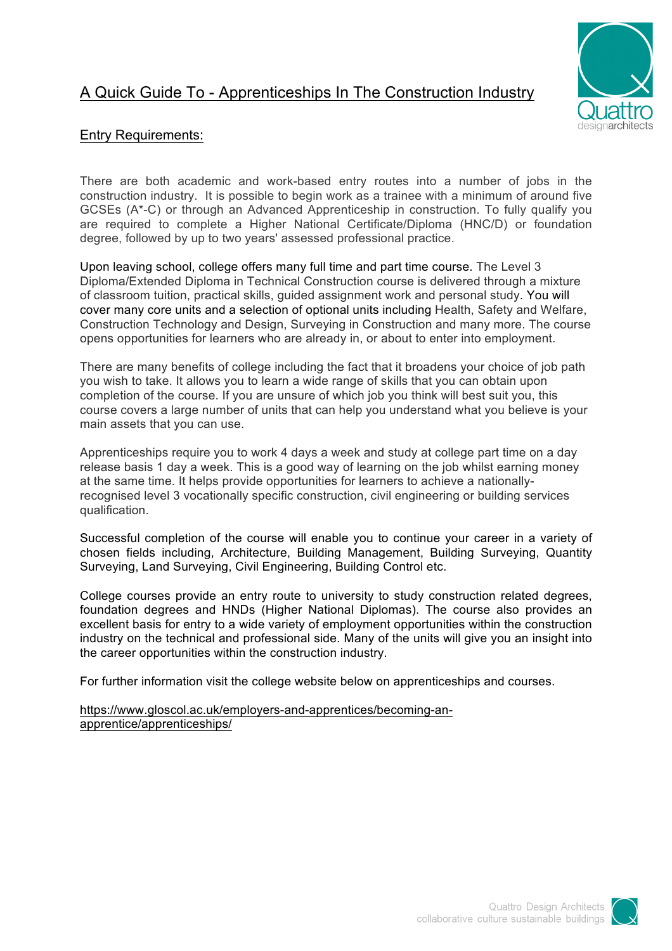## A Quick Guide To - Apprenticeships In The Construction Industry



## Entry Requirements:

There are both academic and work-based entry routes into a number of jobs in the construction industry. It is possible to begin work as a trainee with a minimum of around five GCSEs (A\*-C) or through an Advanced Apprenticeship in construction. To fully qualify you are required to complete a Higher National Certificate/Diploma (HNC/D) or foundation degree, followed by up to two years' assessed professional practice.

Upon leaving school, college offers many full time and part time course. The Level 3 Diploma/Extended Diploma in Technical Construction course is delivered through a mixture of classroom tuition, practical skills, guided assignment work and personal study. You will cover many core units and a selection of optional units including Health, Safety and Welfare, Construction Technology and Design, Surveying in Construction and many more. The course opens opportunities for learners who are already in, or about to enter into employment.

There are many benefits of college including the fact that it broadens your choice of job path you wish to take. It allows you to learn a wide range of skills that you can obtain upon completion of the course. If you are unsure of which job you think will best suit you, this course covers a large number of units that can help you understand what you believe is your main assets that you can use.

Apprenticeships require you to work 4 days a week and study at college part time on a day release basis 1 day a week. This is a good way of learning on the job whilst earning money at the same time. It helps provide opportunities for learners to achieve a nationallyrecognised level 3 vocationally specific construction, civil engineering or building services qualification.

Successful completion of the course will enable you to continue your career in a variety of chosen fields including, Architecture, Building Management, Building Surveying, Quantity Surveying, Land Surveying, Civil Engineering, Building Control etc.

College courses provide an entry route to university to study construction related degrees, foundation degrees and HNDs (Higher National Diplomas). The course also provides an excellent basis for entry to a wide variety of employment opportunities within the construction industry on the technical and professional side. Many of the units will give you an insight into the career opportunities within the construction industry.

For further information visit the college website below on apprenticeships and courses.

https://www.gloscol.ac.uk/employers-and-apprentices/becoming-anapprentice/apprenticeships/